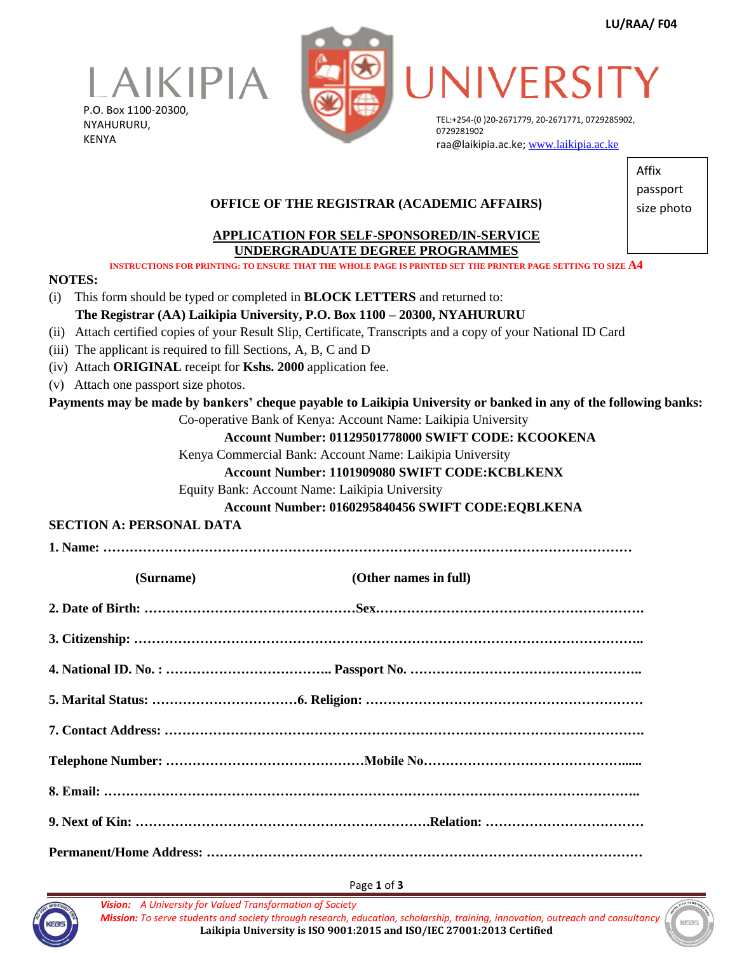



# UNIVERSITY

TEL:+254-(0 )20-2671779, 20-2671771, 0729285902, 0729281902 raa@laikipia.ac.ke; www.laikipia.ac.ke

> Affix passport size photo

## **OFFICE OF THE REGISTRAR (ACADEMIC AFFAIRS)**

#### **APPLICATION FOR SELF-SPONSORED/IN-SERVICE UNDERGRADUATE DEGREE PROGRAMMES**

**INSTRUCTIONS FOR PRINTING: TO ENSURE THAT THE WHOLE PAGE IS PRINTED SET THE PRINTER PAGE SETTING TO SIZE A4**

#### **NOTES:**

| (i)  | This form should be typed or completed in <b>BLOCK LETTERS</b> and returned to:                                 |  |  |  |
|------|-----------------------------------------------------------------------------------------------------------------|--|--|--|
|      | The Registrar (AA) Laikipia University, P.O. Box 1100 - 20300, NYAHURURU                                        |  |  |  |
| (ii) | Attach certified copies of your Result Slip, Certificate, Transcripts and a copy of your National ID Card       |  |  |  |
|      | (iii) The applicant is required to fill Sections, A, B, C and D                                                 |  |  |  |
|      | (iv) Attach ORIGINAL receipt for Kshs. 2000 application fee.                                                    |  |  |  |
|      | (v) Attach one passport size photos.                                                                            |  |  |  |
|      | Payments may be made by bankers' cheque payable to Laikipia University or banked in any of the following banks: |  |  |  |
|      | Co-operative Bank of Kenya: Account Name: Laikipia University                                                   |  |  |  |
|      | Account Number: 01129501778000 SWIFT CODE: KCOOKENA                                                             |  |  |  |
|      | Kenya Commercial Bank: Account Name: Laikipia University                                                        |  |  |  |
|      | <b>Account Number: 1101909080 SWIFT CODE:KCBLKENX</b>                                                           |  |  |  |
|      | Equity Bank: Account Name: Laikipia University                                                                  |  |  |  |
|      | Account Number: 0160295840456 SWIFT CODE:EQBLKENA                                                               |  |  |  |
|      | <b>SECTION A: PERSONAL DATA</b>                                                                                 |  |  |  |
|      |                                                                                                                 |  |  |  |
|      | (Other names in full)<br>(Surname)                                                                              |  |  |  |
|      |                                                                                                                 |  |  |  |
|      |                                                                                                                 |  |  |  |
|      |                                                                                                                 |  |  |  |
|      |                                                                                                                 |  |  |  |
|      |                                                                                                                 |  |  |  |
|      |                                                                                                                 |  |  |  |
|      |                                                                                                                 |  |  |  |
|      |                                                                                                                 |  |  |  |
|      |                                                                                                                 |  |  |  |





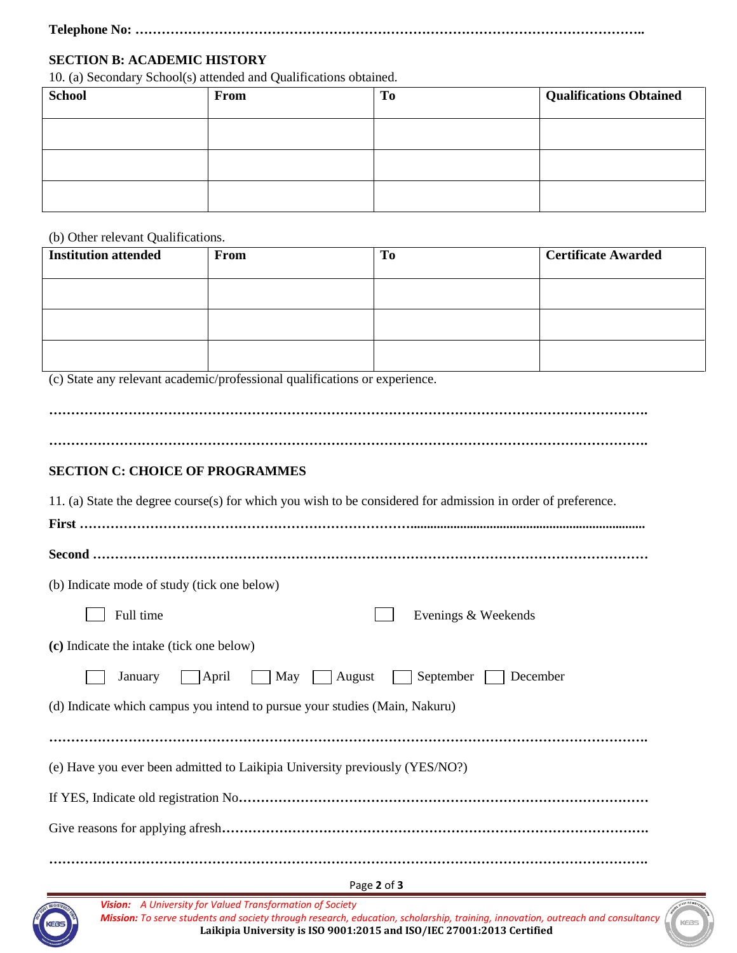# **Telephone No: ……………………………………………………………………………………………………..**

## **SECTION B: ACADEMIC HISTORY**

10. (a) Secondary School(s) attended and Qualifications obtained.

| <b>School</b> | From | To | <b>Qualifications Obtained</b> |
|---------------|------|----|--------------------------------|
|               |      |    |                                |
|               |      |    |                                |
|               |      |    |                                |

(b) Other relevant Qualifications.

| <b>Institution attended</b> | From | To | <b>Certificate Awarded</b> |
|-----------------------------|------|----|----------------------------|
|                             |      |    |                            |
|                             |      |    |                            |
|                             |      |    |                            |
|                             |      |    |                            |

(c) State any relevant academic/professional qualifications or experience.

**……………………………………………………………………………………………………………………….**

**……………………………………………………………………………………………………………………….**

## **SECTION C: CHOICE OF PROGRAMMES**

11. (a) State the degree course(s) for which you wish to be considered for admission in order of preference.

**First ………………………………………………………………….......................................................................**

**Second ………………………………………………………………………………………………………………**

(b) Indicate mode of study (tick one below)



Full time Evenings & Weekends

**(c)** Indicate the intake (tick one below)

|  | Tanuar |  |  |  | April May August September December |  |
|--|--------|--|--|--|-------------------------------------|--|
|--|--------|--|--|--|-------------------------------------|--|

(d) Indicate which campus you intend to pursue your studies (Main, Nakuru)

**……………………………………………………………………………………………………………………….**

(e) Have you ever been admitted to Laikipia University previously (YES/NO?)





 *Vision: A University for Valued Transformation of Society Mission: To serve students and society through research, education, scholarship, training, innovation, outreach and consultancy* **Laikipia University is ISO 9001:2015 and ISO/IEC 27001:2013 Certified**